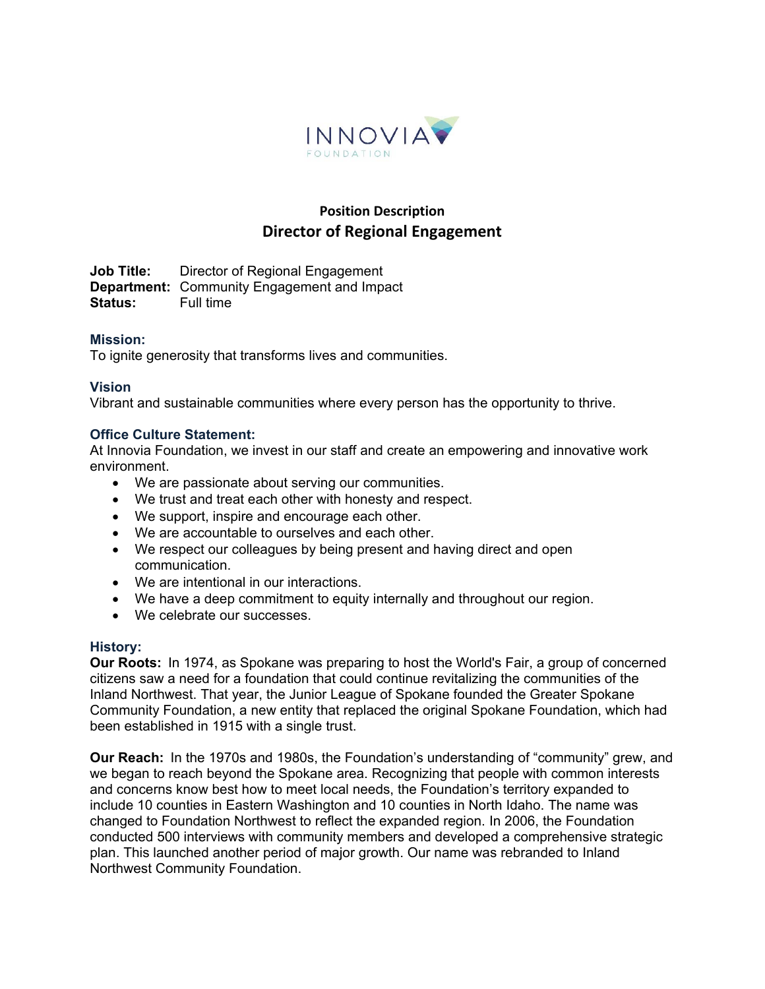

# **Position Description Director of Regional Engagement**

**Job Title:** Director of Regional Engagement **Department:** Community Engagement and Impact<br>Status: Full time **Status:** 

## **Mission:**

To ignite generosity that transforms lives and communities.

## **Vision**

Vibrant and sustainable communities where every person has the opportunity to thrive.

#### **Office Culture Statement:**

At Innovia Foundation, we invest in our staff and create an empowering and innovative work environment. 

- We are passionate about serving our communities.
- We trust and treat each other with honesty and respect.
- We support, inspire and encourage each other.
- We are accountable to ourselves and each other.
- We respect our colleagues by being present and having direct and open communication.
- We are intentional in our interactions.
- We have a deep commitment to equity internally and throughout our region.
- We celebrate our successes.

#### **History:**

**Our Roots:** In 1974, as Spokane was preparing to host the World's Fair, a group of concerned citizens saw a need for a foundation that could continue revitalizing the communities of the Inland Northwest. That year, the Junior League of Spokane founded the Greater Spokane Community Foundation, a new entity that replaced the original Spokane Foundation, which had been established in 1915 with a single trust. 

**Our Reach:** In the 1970s and 1980s, the Foundation's understanding of "community" grew, and we began to reach beyond the Spokane area. Recognizing that people with common interests and concerns know best how to meet local needs, the Foundation's territory expanded to include 10 counties in Eastern Washington and 10 counties in North Idaho. The name was changed to Foundation Northwest to reflect the expanded region. In 2006, the Foundation conducted 500 interviews with community members and developed a comprehensive strategic plan. This launched another period of major growth. Our name was rebranded to Inland Northwest Community Foundation.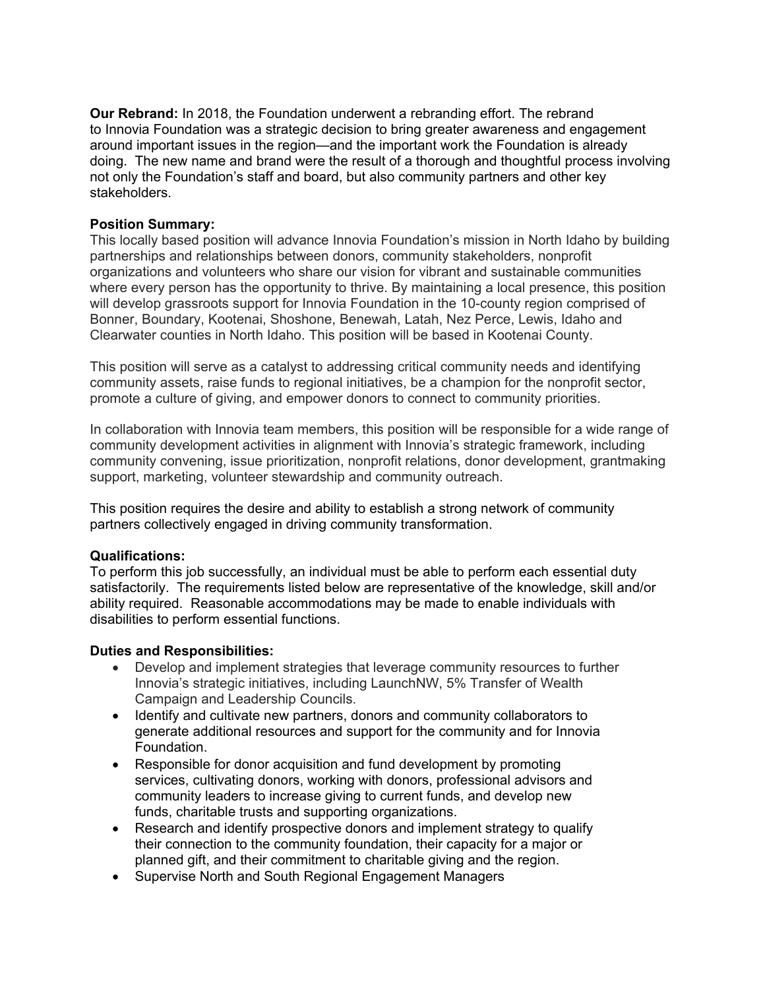**Our Rebrand:** In 2018, the Foundation underwent a rebranding effort. The rebrand to Innovia Foundation was a strategic decision to bring greater awareness and engagement around important issues in the region—and the important work the Foundation is already doing. The new name and brand were the result of a thorough and thoughtful process involving not only the Foundation's staff and board, but also community partners and other key stakeholders.

#### **Position Summary:**

This locally based position will advance Innovia Foundation's mission in North Idaho by building partnerships and relationships between donors, community stakeholders, nonprofit organizations and volunteers who share our vision for vibrant and sustainable communities where every person has the opportunity to thrive. By maintaining a local presence, this position will develop grassroots support for Innovia Foundation in the 10-county region comprised of Bonner, Boundary, Kootenai, Shoshone, Benewah, Latah, Nez Perce, Lewis, Idaho and Clearwater counties in North Idaho. This position will be based in Kootenai County.

This position will serve as a catalyst to addressing critical community needs and identifying community assets, raise funds to regional initiatives, be a champion for the nonprofit sector, promote a culture of giving, and empower donors to connect to community priorities.

In collaboration with Innovia team members, this position will be responsible for a wide range of community development activities in alignment with Innovia's strategic framework, including community convening, issue prioritization, nonprofit relations, donor development, grantmaking support, marketing, volunteer stewardship and community outreach.

This position requires the desire and ability to establish a strong network of community partners collectively engaged in driving community transformation.

## **Qualifications:**

To perform this job successfully, an individual must be able to perform each essential duty satisfactorily. The requirements listed below are representative of the knowledge, skill and/or ability required. Reasonable accommodations may be made to enable individuals with disabilities to perform essential functions.

## **Duties and Responsibilities:**

- Develop and implement strategies that leverage community resources to further Innovia's strategic initiatives, including LaunchNW, 5% Transfer of Wealth Campaign and Leadership Councils.
- Identify and cultivate new partners, donors and community collaborators to generate additional resources and support for the community and for Innovia Foundation.
- Responsible for donor acquisition and fund development by promoting services, cultivating donors, working with donors, professional advisors and community leaders to increase giving to current funds, and develop new funds, charitable trusts and supporting organizations.
- Research and identify prospective donors and implement strategy to qualify their connection to the community foundation, their capacity for a major or planned gift, and their commitment to charitable giving and the region.
- Supervise North and South Regional Engagement Managers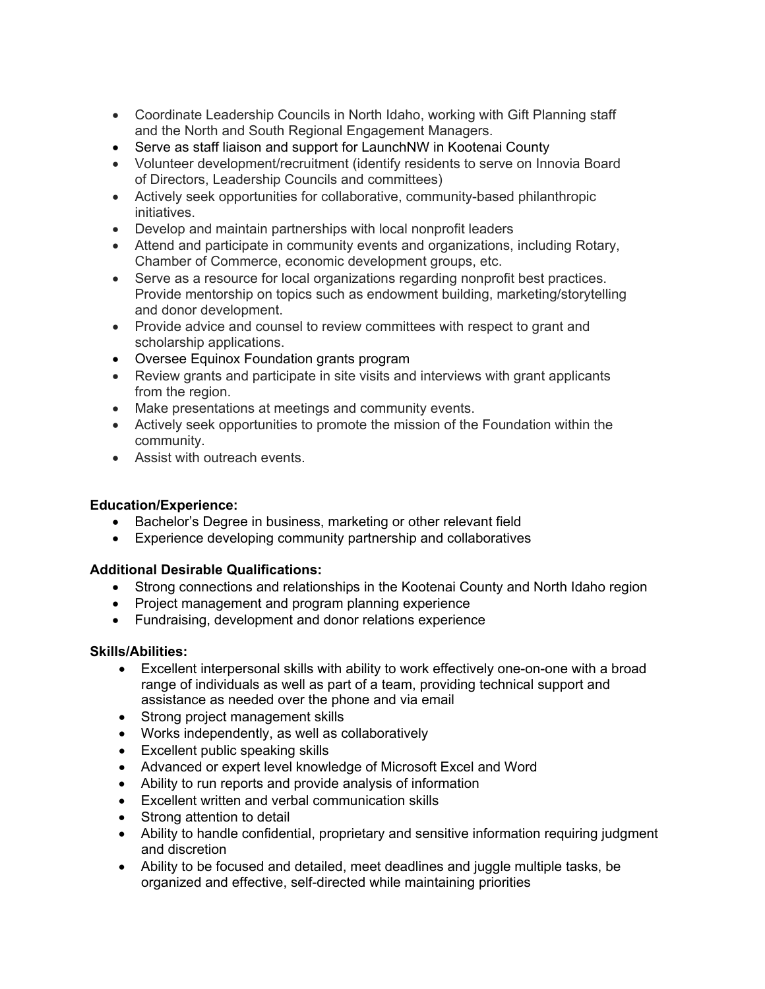- Coordinate Leadership Councils in North Idaho, working with Gift Planning staff and the North and South Regional Engagement Managers.
- Serve as staff liaison and support for LaunchNW in Kootenai County
- Volunteer development/recruitment (identify residents to serve on Innovia Board of Directors, Leadership Councils and committees)
- Actively seek opportunities for collaborative, community-based philanthropic initiatives.
- Develop and maintain partnerships with local nonprofit leaders
- Attend and participate in community events and organizations, including Rotary, Chamber of Commerce, economic development groups, etc.
- Serve as a resource for local organizations regarding nonprofit best practices. Provide mentorship on topics such as endowment building, marketing/storytelling and donor development.
- Provide advice and counsel to review committees with respect to grant and scholarship applications.
- Oversee Equinox Foundation grants program
- Review grants and participate in site visits and interviews with grant applicants from the region.
- Make presentations at meetings and community events.
- Actively seek opportunities to promote the mission of the Foundation within the community.
- Assist with outreach events.

## **Education/Experience:**

- Bachelor's Degree in business, marketing or other relevant field
- Experience developing community partnership and collaboratives

# **Additional Desirable Qualifications:**

- Strong connections and relationships in the Kootenai County and North Idaho region
- Project management and program planning experience
- Fundraising, development and donor relations experience

## **Skills/Abilities:**

- Excellent interpersonal skills with ability to work effectively one-on-one with a broad range of individuals as well as part of a team, providing technical support and assistance as needed over the phone and via email
- Strong project management skills
- Works independently, as well as collaboratively
- Excellent public speaking skills
- Advanced or expert level knowledge of Microsoft Excel and Word
- Ability to run reports and provide analysis of information
- Excellent written and verbal communication skills
- Strong attention to detail
- Ability to handle confidential, proprietary and sensitive information requiring judgment and discretion
- Ability to be focused and detailed, meet deadlines and juggle multiple tasks, be organized and effective, self-directed while maintaining priorities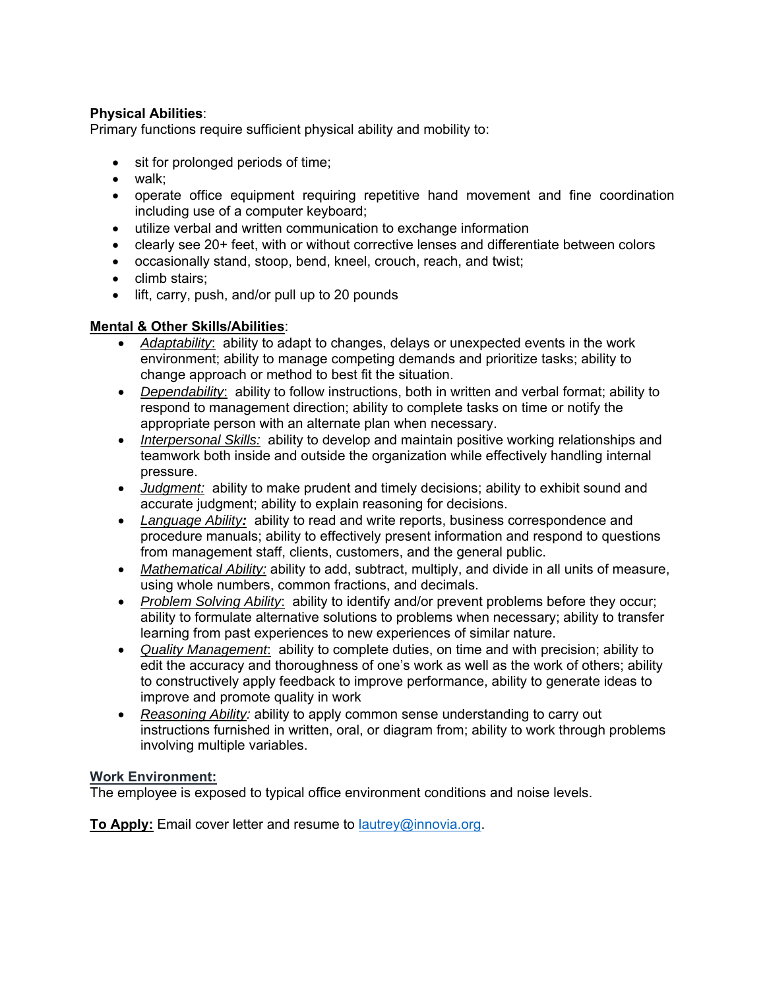# **Physical Abilities**:

Primary functions require sufficient physical ability and mobility to:

- sit for prolonged periods of time;
- walk;
- operate office equipment requiring repetitive hand movement and fine coordination including use of a computer keyboard;
- utilize verbal and written communication to exchange information
- clearly see 20+ feet, with or without corrective lenses and differentiate between colors
- occasionally stand, stoop, bend, kneel, crouch, reach, and twist;
- climb stairs:
- lift, carry, push, and/or pull up to 20 pounds

# **Mental & Other Skills/Abilities**:

- *Adaptability*: ability to adapt to changes, delays or unexpected events in the work environment; ability to manage competing demands and prioritize tasks; ability to change approach or method to best fit the situation.
- *Dependability*: ability to follow instructions, both in written and verbal format; ability to respond to management direction; ability to complete tasks on time or notify the appropriate person with an alternate plan when necessary.
- *Interpersonal Skills:* ability to develop and maintain positive working relationships and teamwork both inside and outside the organization while effectively handling internal pressure.
- *Judgment:* ability to make prudent and timely decisions; ability to exhibit sound and accurate judgment; ability to explain reasoning for decisions.
- *Language Ability:* ability to read and write reports, business correspondence and procedure manuals; ability to effectively present information and respond to questions from management staff, clients, customers, and the general public.
- *Mathematical Ability:* ability to add, subtract, multiply, and divide in all units of measure, using whole numbers, common fractions, and decimals.
- *Problem Solving Ability*: ability to identify and/or prevent problems before they occur; ability to formulate alternative solutions to problems when necessary; ability to transfer learning from past experiences to new experiences of similar nature.
- *Quality Management*: ability to complete duties, on time and with precision; ability to edit the accuracy and thoroughness of one's work as well as the work of others; ability to constructively apply feedback to improve performance, ability to generate ideas to improve and promote quality in work
- *Reasoning Ability:* ability to apply common sense understanding to carry out instructions furnished in written, oral, or diagram from; ability to work through problems involving multiple variables.

## **Work Environment:**

The employee is exposed to typical office environment conditions and noise levels.

**To Apply:** Email cover letter and resume to lautrey@innovia.org.